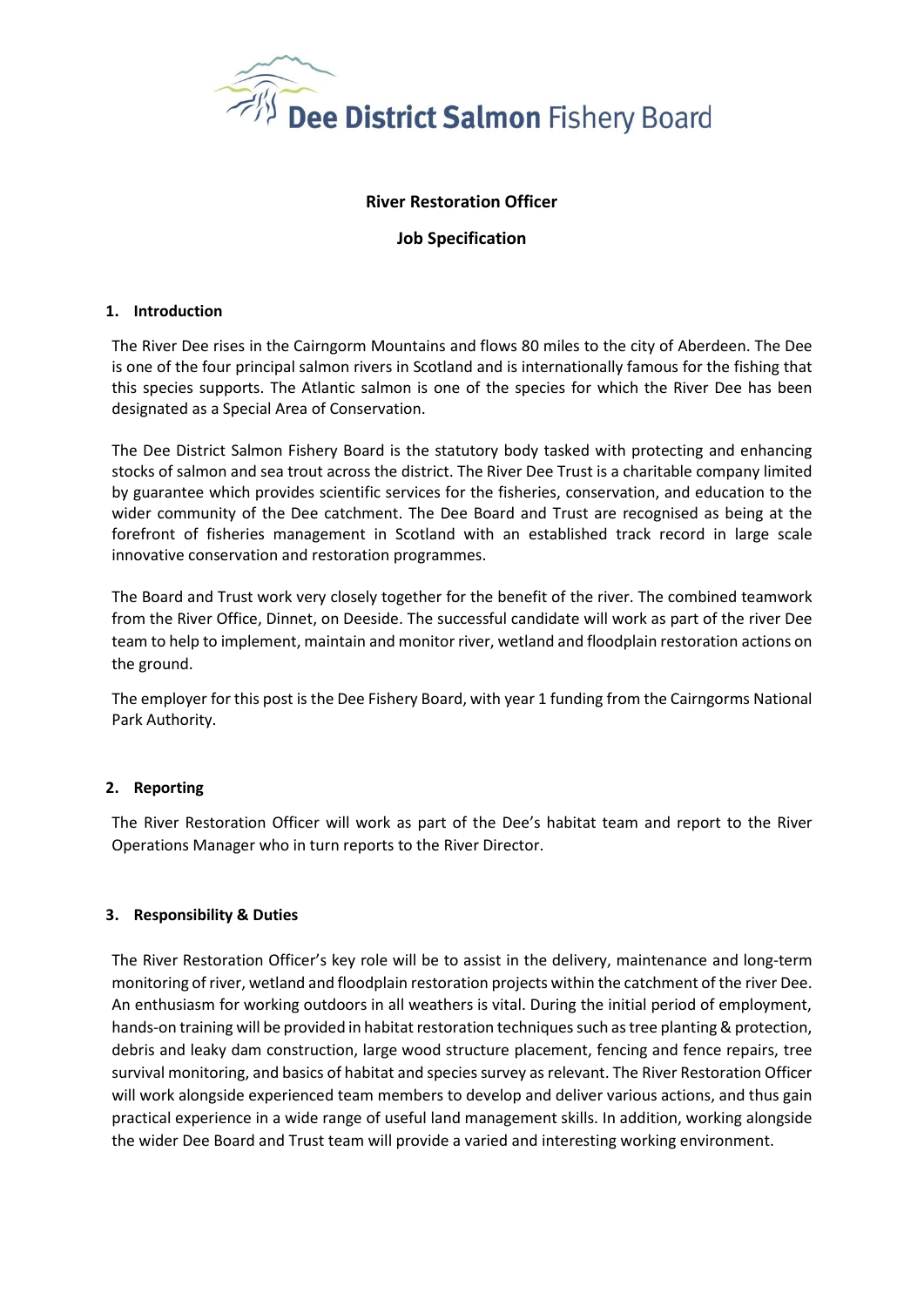

# **River Restoration Officer**

# **Job Specification**

## **1. Introduction**

The River Dee rises in the Cairngorm Mountains and flows 80 miles to the city of Aberdeen. The Dee is one of the four principal salmon rivers in Scotland and is internationally famous for the fishing that this species supports. The Atlantic salmon is one of the species for which the River Dee has been designated as a Special Area of Conservation.

The Dee District Salmon Fishery Board is the statutory body tasked with protecting and enhancing stocks of salmon and sea trout across the district. The River Dee Trust is a charitable company limited by guarantee which provides scientific services for the fisheries, conservation, and education to the wider community of the Dee catchment. The Dee Board and Trust are recognised as being at the forefront of fisheries management in Scotland with an established track record in large scale innovative conservation and restoration programmes.

The Board and Trust work very closely together for the benefit of the river. The combined teamwork from the River Office, Dinnet, on Deeside. The successful candidate will work as part of the river Dee team to help to implement, maintain and monitor river, wetland and floodplain restoration actions on the ground.

The employer for this post is the Dee Fishery Board, with year 1 funding from the Cairngorms National Park Authority.

## **2. Reporting**

The River Restoration Officer will work as part of the Dee's habitat team and report to the River Operations Manager who in turn reports to the River Director.

## **3. Responsibility & Duties**

The River Restoration Officer's key role will be to assist in the delivery, maintenance and long-term monitoring of river, wetland and floodplain restoration projects within the catchment of the river Dee. An enthusiasm for working outdoors in all weathers is vital. During the initial period of employment, hands-on training will be provided in habitat restoration techniques such as tree planting & protection, debris and leaky dam construction, large wood structure placement, fencing and fence repairs, tree survival monitoring, and basics of habitat and species survey as relevant. The River Restoration Officer will work alongside experienced team members to develop and deliver various actions, and thus gain practical experience in a wide range of useful land management skills. In addition, working alongside the wider Dee Board and Trust team will provide a varied and interesting working environment.